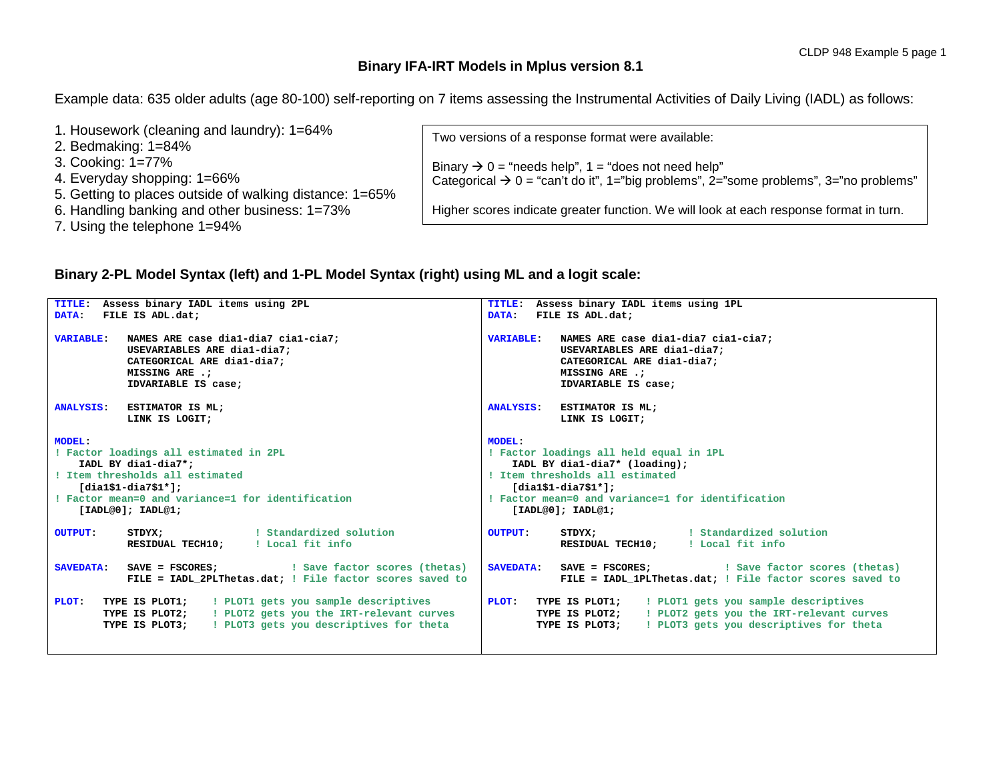## **Binary IFA-IRT Models in Mplus version 8.1**

Example data: 635 older adults (age 80-100) self-reporting on 7 items assessing the Instrumental Activities of Daily Living (IADL) as follows:

| 1. Housework (cleaning and laundry): 1=64%              | Two versions of a response format were available:                                                 |
|---------------------------------------------------------|---------------------------------------------------------------------------------------------------|
| 2. Bedmaking: 1=84%                                     |                                                                                                   |
| 3. Cooking: 1=77%                                       | Binary $\rightarrow$ 0 = "needs help", 1 = "does not need help"                                   |
| 4. Everyday shopping: 1=66%                             | Categorical $\rightarrow 0$ = "can't do it", 1="big problems", 2="some problems", 3="no problems" |
| 5. Getting to places outside of walking distance: 1=65% |                                                                                                   |
| 6. Handling banking and other business: 1=73%           | Higher scores indicate greater function. We will look at each response format in turn.            |
| 7. Using the telephone 1=94%                            |                                                                                                   |
|                                                         |                                                                                                   |

## **Binary 2-PL Model Syntax (left) and 1-PL Model Syntax (right) using ML and a logit scale:**

| Assess binary IADL items using 2PL<br>TITLE:                                                                                                                                                                       | TITLE: Assess binary IADL items using 1PL                                                                                                                                                                               |  |  |  |  |  |
|--------------------------------------------------------------------------------------------------------------------------------------------------------------------------------------------------------------------|-------------------------------------------------------------------------------------------------------------------------------------------------------------------------------------------------------------------------|--|--|--|--|--|
| FILE IS ADL.dat;<br><b>DATA:</b>                                                                                                                                                                                   | DATA: FILE IS ADL.dat;                                                                                                                                                                                                  |  |  |  |  |  |
| NAMES ARE case dia1-dia7 cia1-cia7;<br><b>VARIABLE:</b><br>USEVARIABLES ARE dia1-dia7;<br>CATEGORICAL ARE dia1-dia7;<br>MISSING ARE .:<br>IDVARIABLE IS case;                                                      | VARIABLE: NAMES ARE case dial-dia7 cial-cia7;<br>USEVARIABLES ARE dia1-dia7;<br>CATEGORICAL ARE dia1-dia7;<br>MISSING ARE .:<br>IDVARIABLE IS case;                                                                     |  |  |  |  |  |
| ESTIMATOR IS ML;<br><b>ANALYSIS:</b><br>LINK IS LOGIT;                                                                                                                                                             | ANALYSIS: ESTIMATOR IS ML;<br>LINK IS LOGIT;                                                                                                                                                                            |  |  |  |  |  |
| <b>MODEL:</b><br>! Factor loadings all estimated in 2PL<br>IADL BY dia1-dia7*;<br>! Item thresholds all estimated<br>[dia1\$1-dia7\$1*];<br>! Factor mean=0 and variance=1 for identification<br>[IADL@0]; IADL@1; | MODEL:<br>! Factor loadings all held equal in 1PL<br>IADL BY dia1-dia7* (loading);<br>! Item thresholds all estimated<br>$[diag1$1-dia7$1*];$<br>! Factor mean=0 and variance=1 for identification<br>[IADL@0]; IADL@1; |  |  |  |  |  |
| Standardized solution<br>STDYX;<br><b>OUTPUT:</b><br>RESIDUAL TECH10; : Local fit info                                                                                                                             | STDYX; Standardized solution<br><b>OUTPUT:</b><br>RESIDUAL TECH10; : Local fit info                                                                                                                                     |  |  |  |  |  |
| <b>SAVEDATA:</b><br>FILE = IADL 2PLThetas.dat; ! File factor scores saved to                                                                                                                                       | <b>SAVEDATA:</b><br>FILE = IADL 1PLThetas.dat; ! File factor scores saved to                                                                                                                                            |  |  |  |  |  |
| <b>TYPE IS PLOT1;</b> : PLOT1 gets you sample descriptives<br>PLOT:<br>TYPE IS PLOT2; : PLOT2 gets you the IRT-relevant curves<br>! PLOT3 gets you descriptives for theta<br>TYPE IS PLOT3;                        | PLOT: TYPE IS PLOT1; ! PLOT1 gets you sample descriptives<br>! PLOT2 gets you the IRT-relevant curves<br>TYPE IS PLOT2;<br>! PLOT3 gets you descriptives for theta<br>TYPE IS PLOT3;                                    |  |  |  |  |  |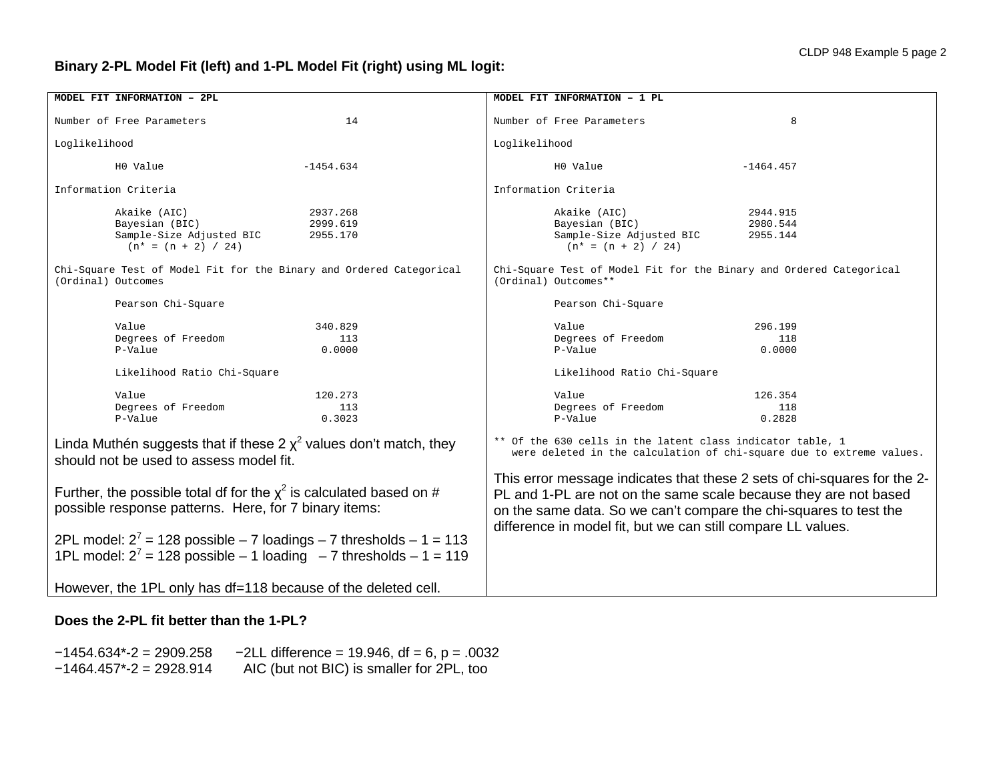# **Binary 2-PL Model Fit (left) and 1-PL Model Fit (right) using ML logit:**

| MODEL FIT INFORMATION - 2PL                                                                                                                                                                                                                                                                                                                                                                                                                                            | MODEL FIT INFORMATION - 1 PL                                                                                                                                                                                                                                                                                                                                                                                            |  |  |  |  |  |
|------------------------------------------------------------------------------------------------------------------------------------------------------------------------------------------------------------------------------------------------------------------------------------------------------------------------------------------------------------------------------------------------------------------------------------------------------------------------|-------------------------------------------------------------------------------------------------------------------------------------------------------------------------------------------------------------------------------------------------------------------------------------------------------------------------------------------------------------------------------------------------------------------------|--|--|--|--|--|
| Number of Free Parameters<br>14                                                                                                                                                                                                                                                                                                                                                                                                                                        | Number of Free Parameters<br>8                                                                                                                                                                                                                                                                                                                                                                                          |  |  |  |  |  |
| Loglikelihood                                                                                                                                                                                                                                                                                                                                                                                                                                                          | Loglikelihood                                                                                                                                                                                                                                                                                                                                                                                                           |  |  |  |  |  |
| $-1454.634$<br>HO Value                                                                                                                                                                                                                                                                                                                                                                                                                                                | H0 Value<br>$-1464.457$                                                                                                                                                                                                                                                                                                                                                                                                 |  |  |  |  |  |
| Information Criteria                                                                                                                                                                                                                                                                                                                                                                                                                                                   | Information Criteria                                                                                                                                                                                                                                                                                                                                                                                                    |  |  |  |  |  |
| Akaike (AIC)<br>2937.268<br>Bayesian (BIC)<br>2999.619<br>Sample-Size Adjusted BIC<br>2955.170<br>$(n* = (n + 2) / 24)$<br>Chi-Square Test of Model Fit for the Binary and Ordered Categorical<br>(Ordinal) Outcomes<br>Pearson Chi-Square<br>Value<br>340.829<br>Degrees of Freedom<br>113<br>P-Value<br>0.0000<br>Likelihood Ratio Chi-Square<br>Value<br>120.273<br>Degrees of Freedom<br>113<br>P-Value<br>0.3023                                                  | Akaike (AIC)<br>2944.915<br>Bayesian (BIC)<br>2980.544<br>Sample-Size Adjusted BIC<br>2955.144<br>$(n* = (n + 2) / 24)$<br>Chi-Square Test of Model Fit for the Binary and Ordered Categorical<br>(Ordinal) Outcomes**<br>Pearson Chi-Square<br>Value<br>296.199<br>Degrees of Freedom<br>118<br>P-Value<br>0.0000<br>Likelihood Ratio Chi-Square<br>Value<br>126.354<br>Degrees of Freedom<br>118<br>P-Value<br>0.2828 |  |  |  |  |  |
| Linda Muthén suggests that if these 2 $\chi^2$ values don't match, they<br>should not be used to assess model fit.<br>Further, the possible total df for the $x^2$ is calculated based on #<br>possible response patterns. Here, for 7 binary items:<br>2PL model: $2^7$ = 128 possible - 7 loadings - 7 thresholds - 1 = 113<br>1PL model: $2^7$ = 128 possible - 1 loading - 7 thresholds - 1 = 119<br>However, the 1PL only has df=118 because of the deleted cell. | ** Of the 630 cells in the latent class indicator table, 1<br>were deleted in the calculation of chi-square due to extreme values.<br>This error message indicates that these 2 sets of chi-squares for the 2-<br>PL and 1-PL are not on the same scale because they are not based<br>on the same data. So we can't compare the chi-squares to test the<br>difference in model fit, but we can still compare LL values. |  |  |  |  |  |

## **Does the 2-PL fit better than the 1-PL?**

−1454.634\*-2 = 2909.258 −2LL difference = 19.946, df = 6, p = .0032 −1464.457\*-2 = 2928.914 AIC (but not BIC) is smaller for 2PL, too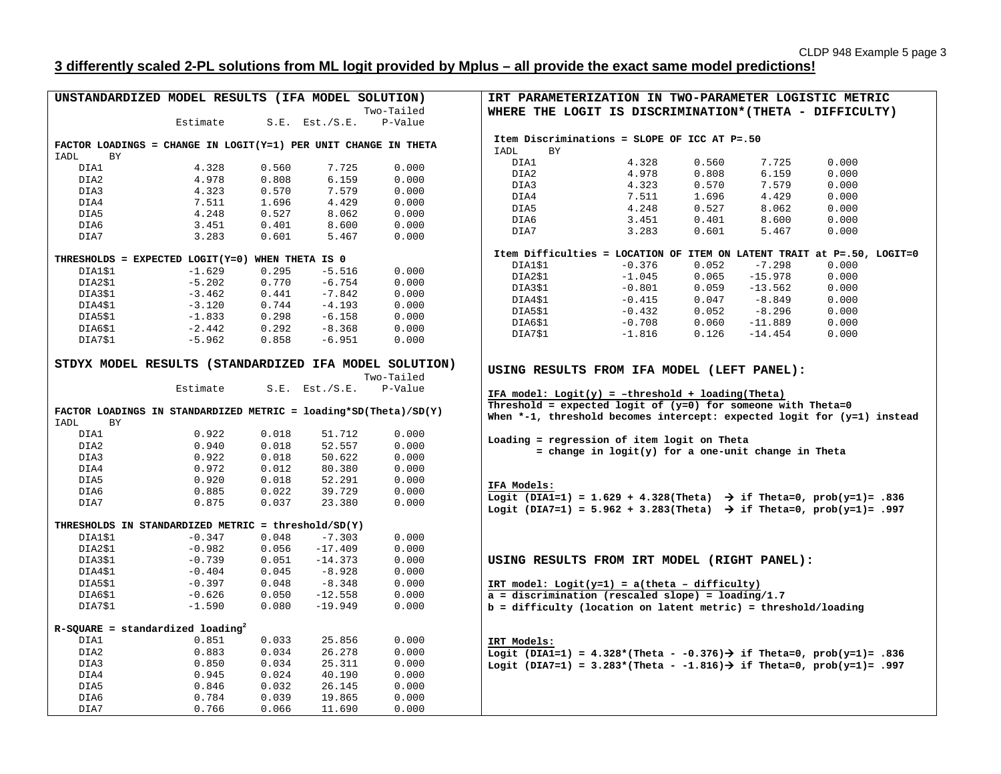# **3 differently scaled 2-PL solutions from ML logit provided by Mplus – all provide the exact same model predictions!**

| UNSTANDARDIZED MODEL RESULTS (IFA MODEL SOLUTION)                  |          |       |                     |                                                                | IRT PARAMETERIZATION IN TWO-PARAMETER LOGISTIC METRIC                                                                                                              |          |       |           |                                                                         |  |  |
|--------------------------------------------------------------------|----------|-------|---------------------|----------------------------------------------------------------|--------------------------------------------------------------------------------------------------------------------------------------------------------------------|----------|-------|-----------|-------------------------------------------------------------------------|--|--|
|                                                                    |          |       |                     | Two-Tailed                                                     | WHERE THE LOGIT IS DISCRIMINATION* (THETA - DIFFICULTY)                                                                                                            |          |       |           |                                                                         |  |  |
|                                                                    | Estimate |       | $S.E.$ Est./ $S.E.$ | P-Value                                                        |                                                                                                                                                                    |          |       |           |                                                                         |  |  |
|                                                                    |          |       |                     |                                                                |                                                                                                                                                                    |          |       |           |                                                                         |  |  |
| FACTOR LOADINGS = CHANGE IN LOGIT(Y=1) PER UNIT CHANGE IN THETA    |          |       |                     |                                                                | Item Discriminations = SLOPE OF ICC AT P=.50                                                                                                                       |          |       |           |                                                                         |  |  |
| <b>IADL</b><br><b>BY</b>                                           |          |       |                     |                                                                | IADL<br>BY                                                                                                                                                         |          |       |           |                                                                         |  |  |
| DIA1                                                               | 4.328    | 0.560 | 7.725               | 0.000                                                          | DIA1                                                                                                                                                               | 4.328    | 0.560 | 7.725     | 0.000                                                                   |  |  |
| DIA2                                                               | 4.978    | 0.808 | 6.159               | 0.000                                                          | DIA2                                                                                                                                                               | 4.978    | 0.808 | 6.159     | 0.000                                                                   |  |  |
| DIA3                                                               | 4.323    | 0.570 | 7.579               | 0.000                                                          | DIA3                                                                                                                                                               | 4.323    | 0.570 | 7.579     | 0.000                                                                   |  |  |
| DIA4                                                               | 7.511    | 1.696 | 4.429               | 0.000                                                          | DIA4                                                                                                                                                               | 7.511    | 1.696 | 4.429     | 0.000                                                                   |  |  |
| DIA5                                                               | 4.248    | 0.527 | 8.062               | 0.000                                                          | DIA5                                                                                                                                                               | 4.248    | 0.527 | 8.062     | 0.000                                                                   |  |  |
| DIA6                                                               | 3.451    | 0.401 | 8.600               | 0.000                                                          | DIA6                                                                                                                                                               | 3.451    | 0.401 | 8.600     | 0.000                                                                   |  |  |
| DIA7                                                               | 3.283    | 0.601 | 5.467               | 0.000                                                          | DIA7                                                                                                                                                               | 3.283    | 0.601 | 5.467     | 0.000                                                                   |  |  |
|                                                                    |          |       |                     |                                                                |                                                                                                                                                                    |          |       |           |                                                                         |  |  |
| THRESHOLDS = EXPECTED LOGIT(Y=0) WHEN THETA IS 0                   |          |       |                     |                                                                |                                                                                                                                                                    |          |       |           | Item Difficulties = LOCATION OF ITEM ON LATENT TRAIT at P=.50, LOGIT=0  |  |  |
| DIA1\$1                                                            | $-1.629$ | 0.295 | $-5.516$            | 0.000                                                          | DIA1\$1                                                                                                                                                            | $-0.376$ | 0.052 | $-7.298$  | 0.000                                                                   |  |  |
| DIA2\$1                                                            | $-5.202$ | 0.770 | $-6.754$            | 0.000                                                          | DIA2\$1                                                                                                                                                            | $-1.045$ | 0.065 | $-15.978$ | 0.000                                                                   |  |  |
| DIA3\$1                                                            | $-3.462$ | 0.441 | $-7.842$            |                                                                | DIA3\$1                                                                                                                                                            | $-0.801$ | 0.059 | $-13.562$ | 0.000                                                                   |  |  |
|                                                                    |          |       |                     | 0.000                                                          | DIA4\$1                                                                                                                                                            | $-0.415$ | 0.047 | $-8.849$  | 0.000                                                                   |  |  |
| DIA4\$1                                                            | $-3.120$ | 0.744 | $-4.193$            | 0.000                                                          | DIA5\$1                                                                                                                                                            | $-0.432$ | 0.052 | $-8.296$  | 0.000                                                                   |  |  |
| DIA5\$1                                                            | $-1.833$ | 0.298 | $-6.158$            | 0.000                                                          | DIA6\$1                                                                                                                                                            | $-0.708$ | 0.060 | $-11.889$ | 0.000                                                                   |  |  |
| DIA6\$1                                                            | $-2.442$ | 0.292 | $-8.368$            | 0.000                                                          | DIA7\$1                                                                                                                                                            | $-1.816$ | 0.126 | $-14.454$ | 0.000                                                                   |  |  |
| DIA7\$1                                                            | $-5.962$ | 0.858 | $-6.951$            | 0.000                                                          |                                                                                                                                                                    |          |       |           |                                                                         |  |  |
|                                                                    |          |       |                     |                                                                |                                                                                                                                                                    |          |       |           |                                                                         |  |  |
| STDYX MODEL RESULTS (STANDARDIZED IFA MODEL SOLUTION)              |          |       |                     | USING RESULTS FROM IFA MODEL (LEFT PANEL):                     |                                                                                                                                                                    |          |       |           |                                                                         |  |  |
|                                                                    |          |       |                     | Two-Tailed                                                     |                                                                                                                                                                    |          |       |           |                                                                         |  |  |
|                                                                    | Estimate |       | $S.E.$ Est./ $S.E.$ | P-Value                                                        | IFA model: $Logit(y) = -threshold + loading(Theta)$                                                                                                                |          |       |           |                                                                         |  |  |
|                                                                    |          |       |                     | Threshold = expected logit of $(y=0)$ for someone with Theta=0 |                                                                                                                                                                    |          |       |           |                                                                         |  |  |
| FACTOR LOADINGS IN STANDARDIZED METRIC = $loading*SD(Theta)/SD(Y)$ |          |       |                     |                                                                |                                                                                                                                                                    |          |       |           | When *-1, threshold becomes intercept: expected logit for (y=1) instead |  |  |
| IADL<br><b>BY</b>                                                  |          |       |                     |                                                                |                                                                                                                                                                    |          |       |           |                                                                         |  |  |
| DIA1                                                               | 0.922    | 0.018 | 51.712              | 0.000                                                          | Loading = regression of item logit on Theta                                                                                                                        |          |       |           |                                                                         |  |  |
| DIA2                                                               | 0.940    | 0.018 | 52.557              | 0.000                                                          |                                                                                                                                                                    |          |       |           |                                                                         |  |  |
| DIA3                                                               | 0.922    | 0.018 | 50.622              | 0.000                                                          | = change in $logit(y)$ for a one-unit change in Theta                                                                                                              |          |       |           |                                                                         |  |  |
| DIA4                                                               | 0.972    | 0.012 | 80.380              | 0.000                                                          |                                                                                                                                                                    |          |       |           |                                                                         |  |  |
| DIA5                                                               | 0.920    | 0.018 | 52.291              | 0.000                                                          |                                                                                                                                                                    |          |       |           |                                                                         |  |  |
| DIA6                                                               | 0.885    | 0.022 | 39.729              | 0.000                                                          | IFA Models:                                                                                                                                                        |          |       |           |                                                                         |  |  |
| DIA7                                                               | 0.875    | 0.037 | 23.380              | 0.000                                                          | Logit (DIA1=1) = 1.629 + 4.328(Theta) $\rightarrow$ if Theta=0, prob(y=1)= .836<br>Logit (DIA7=1) = 5.962 + 3.283(Theta) $\rightarrow$ if Theta=0, prob(y=1)= .997 |          |       |           |                                                                         |  |  |
|                                                                    |          |       |                     |                                                                |                                                                                                                                                                    |          |       |           |                                                                         |  |  |
| THRESHOLDS IN STANDARDIZED METRIC = threshold/SD(Y)                |          |       |                     |                                                                |                                                                                                                                                                    |          |       |           |                                                                         |  |  |
| DIA1\$1                                                            | $-0.347$ | 0.048 | $-7.303$            | 0.000                                                          |                                                                                                                                                                    |          |       |           |                                                                         |  |  |
| DIA2\$1                                                            | $-0.982$ | 0.056 | $-17.409$           | 0.000                                                          |                                                                                                                                                                    |          |       |           |                                                                         |  |  |
| DIA3\$1                                                            | $-0.739$ | 0.051 | $-14.373$           | 0.000                                                          | USING RESULTS FROM IRT MODEL (RIGHT PANEL):                                                                                                                        |          |       |           |                                                                         |  |  |
| DIA4\$1                                                            | $-0.404$ | 0.045 | $-8.928$            | 0.000                                                          |                                                                                                                                                                    |          |       |           |                                                                         |  |  |
| DIA5\$1                                                            | $-0.397$ | 0.048 | $-8.348$            | 0.000                                                          | IRT model: $Logit(y=1) = a(theta - difficulty)$                                                                                                                    |          |       |           |                                                                         |  |  |
| DIA6\$1                                                            | $-0.626$ | 0.050 | $-12.558$           | 0.000                                                          | $a =$ discrimination (rescaled slope) = loading/1.7                                                                                                                |          |       |           |                                                                         |  |  |
| DIA7\$1                                                            | $-1.590$ | 0.080 | $-19.949$           | 0.000                                                          | $b = difficulty$ (location on latent metric) = threshold/loading                                                                                                   |          |       |           |                                                                         |  |  |
|                                                                    |          |       |                     |                                                                |                                                                                                                                                                    |          |       |           |                                                                         |  |  |
| $R-SQUARE = standardized loading2$                                 |          |       |                     |                                                                |                                                                                                                                                                    |          |       |           |                                                                         |  |  |
| DIA1                                                               | 0.851    | 0.033 | 25.856              | 0.000                                                          | IRT Models:                                                                                                                                                        |          |       |           |                                                                         |  |  |
| DIA2                                                               | 0.883    | 0.034 | 26.278              | 0.000                                                          |                                                                                                                                                                    |          |       |           | Logit (DIA1=1) = 4.328*(Theta - -0.376) > if Theta=0, prob(y=1)= .836   |  |  |
| DIA3                                                               | 0.850    | 0.034 | 25.311              | 0.000                                                          |                                                                                                                                                                    |          |       |           |                                                                         |  |  |
| DIA4                                                               |          | 0.024 | 40.190              | 0.000                                                          | Logit (DIA7=1) = 3.283*(Theta - -1.816) $\rightarrow$ if Theta=0, prob(y=1)= .997                                                                                  |          |       |           |                                                                         |  |  |
|                                                                    | 0.945    |       |                     |                                                                |                                                                                                                                                                    |          |       |           |                                                                         |  |  |
| DIA5                                                               | 0.846    | 0.032 | 26.145              | 0.000                                                          |                                                                                                                                                                    |          |       |           |                                                                         |  |  |
| DIA6                                                               | 0.784    | 0.039 | 19.865              | 0.000                                                          |                                                                                                                                                                    |          |       |           |                                                                         |  |  |
| DIA7                                                               | 0.766    | 0.066 | 11.690              | 0.000                                                          |                                                                                                                                                                    |          |       |           |                                                                         |  |  |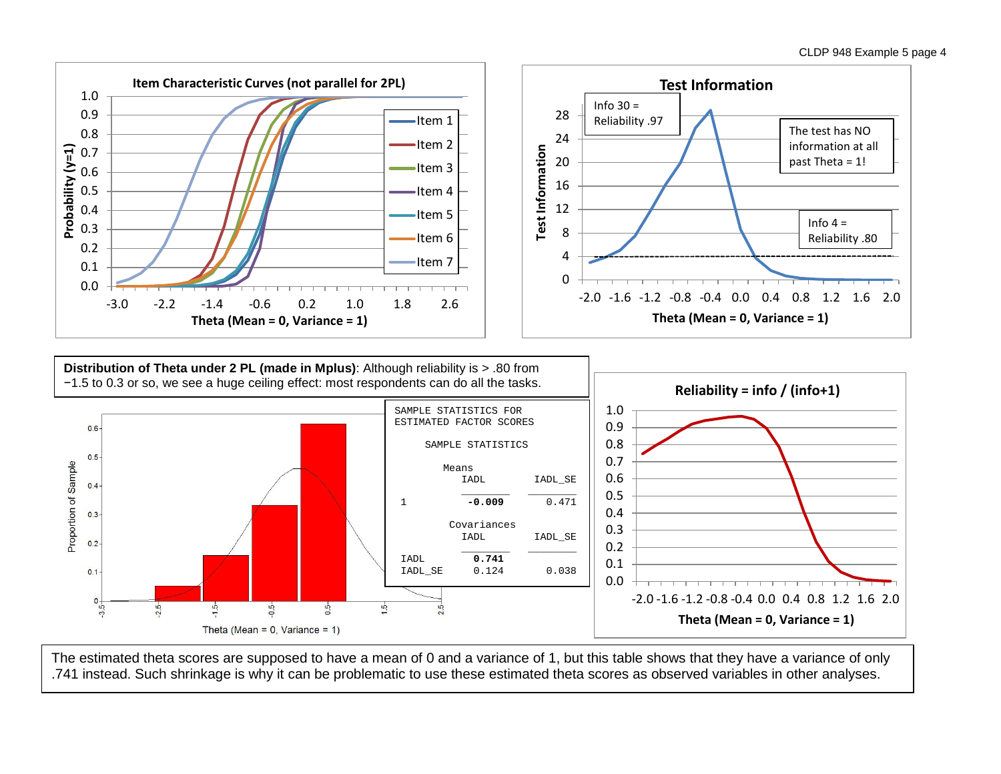

The estimated theta scores are supposed to have a mean of 0 and a variance of 1, but this table shows that they have a variance of only .741 instead. Such shrinkage is why it can be problematic to use these estimated theta scores as observed variables in other analyses.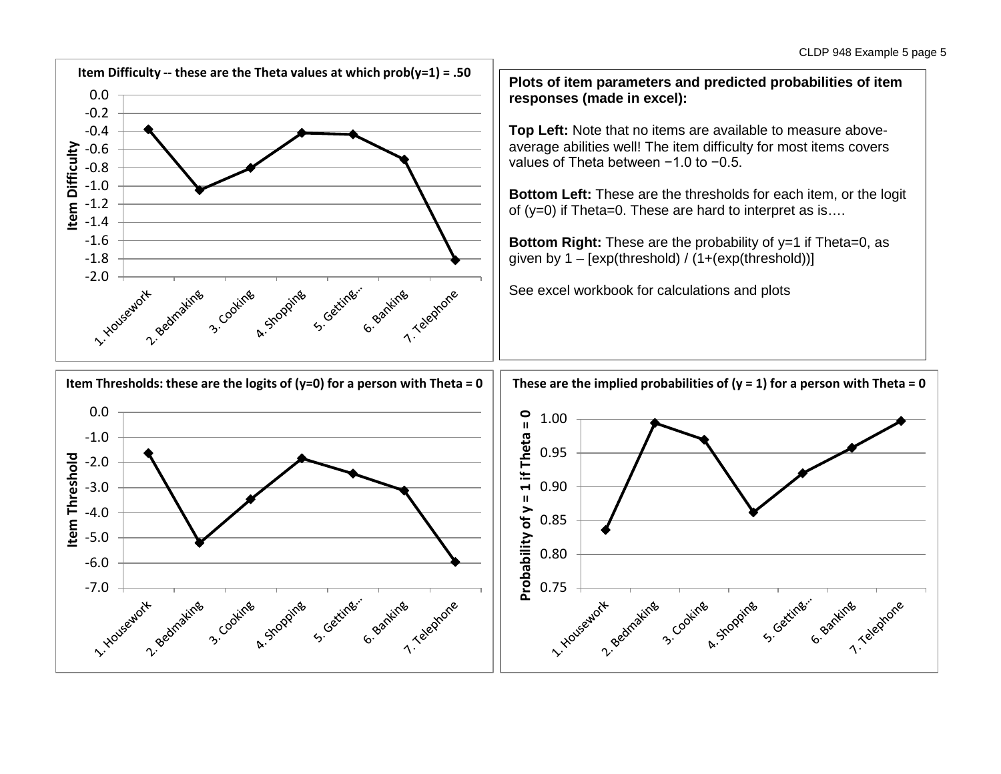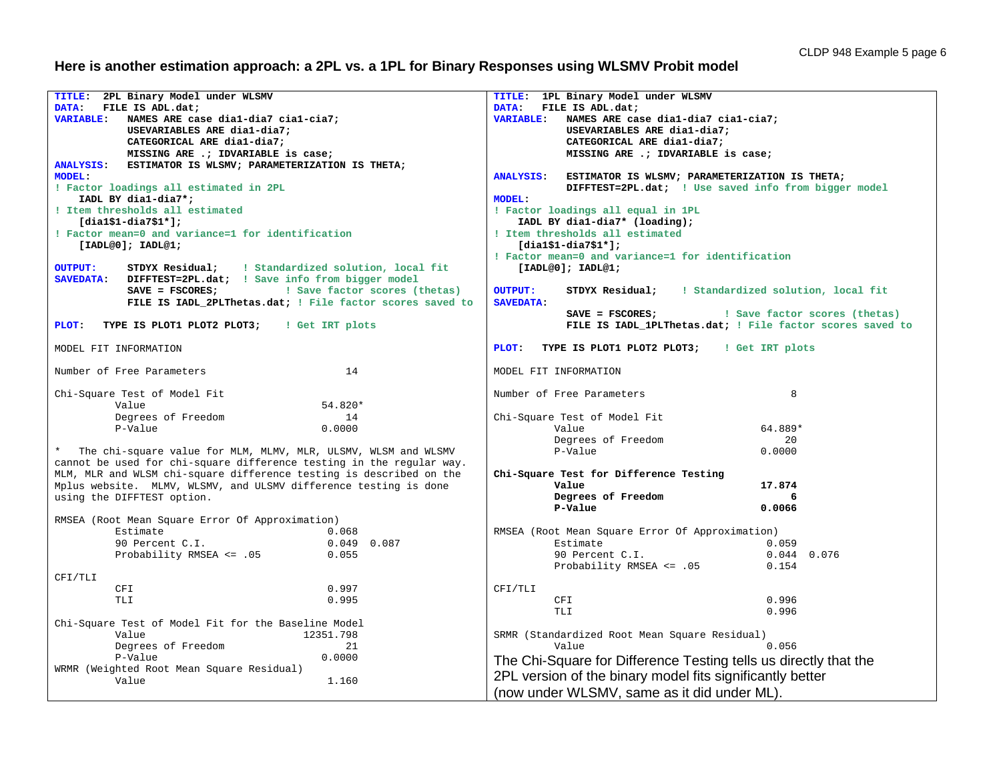### **Here is another estimation approach: a 2PL vs. a 1PL for Binary Responses using WLSMV Probit model**

```
TITLE: 2PL Binary Model under WLSMV 
DATA: FILE IS ADL.dat;
VARIABLE: NAMES ARE case dia1-dia7 cia1-cia7;
           USEVARIABLES ARE dia1-dia7;
           CATEGORICAL ARE dia1-dia7;
          MISSING ARE .; IDVARIABLE is case;
ANALYSIS: ESTIMATOR IS WLSMV; PARAMETERIZATION IS THETA; 
MODEL: 
! Factor loadings all estimated in 2PL 
    IADL BY dia1-dia7*;
! Item thresholds all estimated
    [dia1$1-dia7$1*];
! Factor mean=0 and variance=1 for identification
    [IADL@0]; IADL@1;
OUTPUT:
          OUTPUT: STDYX Residual; ! Standardized solution, local fit
SAVEDATA: DIFFTEST=2PL.dat; ! Save info from bigger model
                               I Save factor scores (thetas)
           FILE IS IADL_2PLThetas.dat; ! File factor scores saved to
PLOT: TYPE IS PLOT1 PLOT2 PLOT3; ! Get IRT plots
MODEL FIT INFORMATION
Number of Free Parameters 14
Chi-Square Test of Model Fit
Value 54.820*
        Degrees of Freedom 14<br>P-Value 0.0000
P-Value 0.0000
* The chi-square value for MLM, MLMV, MLR, ULSMV, WLSM and WLSMV 
cannot be used for chi-square difference testing in the regular way. 
MLM, MLR and WLSM chi-square difference testing is described on the 
Mplus website. MLMV, WLSMV, and ULSMV difference testing is done 
using the DIFFTEST option.
RMSEA (Root Mean Square Error Of Approximation)
Estimate 0.068
        90 Percent C.I. 0.049 0.087<br>Probability RMSEA <= .05 0.055
        Probability RMSEA <= .05
CFI/TLI
CFI 0.997
 TLI 0.995
Chi-Square Test of Model Fit for the Baseline Model
                                  12351.798<br>21
        Degrees of Freedom 21<br>P-Value 0.0000
P-Value 0.0000
WRMR (Weighted Root Mean Square Residual)
Value 1.160
                                                             TITLE: 1PL Binary Model under WLSMV 
                                                             DATA: FILE IS ADL.dat;
                                                             VARIABLE: NAMES ARE case dia1-dia7 cia1-cia7;
                                                                        USEVARIABLES ARE dia1-dia7;
                                                                        CATEGORICAL ARE dia1-dia7;
                                                                        MISSING ARE .; IDVARIABLE is case;
                                                             ANALYSIS: ESTIMATOR IS WLSMV; PARAMETERIZATION IS THETA; 
                                                                        DIFFTEST=2PL.dat; ! Use saved info from bigger model 
                                                             MODEL: 
                                                             ! Factor loadings all equal in 1PL 
                                                                  IADL BY dia1-dia7* (loading);
                                                             ! Item thresholds all estimated
                                                                  [dia1$1-dia7$1*];
                                                             ! Factor mean=0 and variance=1 for identification
                                                                 [IADL@0]; IADL@1;
                                                             OUTPUT:
                                                                       OUTPUT: STDYX Residual; ! Standardized solution, local fit
                                                             SAVEDATA: 
                                                                        SAVE = FSCORES; ! Save factor scores (thetas)
                                                                        FILE IS IADL_1PLThetas.dat; ! File factor scores saved to
                                                             PLOT: TYPE IS PLOT1 PLOT2 PLOT3; ! Get IRT plots
                                                             MODEL FIT INFORMATION
                                                             Number of Free Parameters 8
                                                             Chi-Square Test of Model Fit
                                                              Value 64.889*
                                                                      Degrees of Freedom 20<br>
P-Value 0.0000
                                                                      P-Value
                                                              Chi-Square Test for Difference Testing
                                                               Value 17.874
                                                                      Degrees of Freedom 6<br>P-Value 0.0066
                                                              P-Value 0.0066
                                                             RMSEA (Root Mean Square Error Of Approximation)
                                                                     Estimate 0.059<br>90 Percent C.I. 0.044 0.076
                                                                      90 Percent C.I. 0.044<br>Probability RMSEA <= .05 0.154
                                                                      Probability RMSEA <= .05
                                                             CFI/TLI
                                                              CFI 0.996
                                                               TLI 0.996
                                                             SRMR (Standardized Root Mean Square Residual)
                                                              Value 0.056
                                                             The Chi-Square for Difference Testing tells us directly that the 
                                                              2PL version of the binary model fits significantly better
                                                              (now under WLSMV, same as it did under ML).
```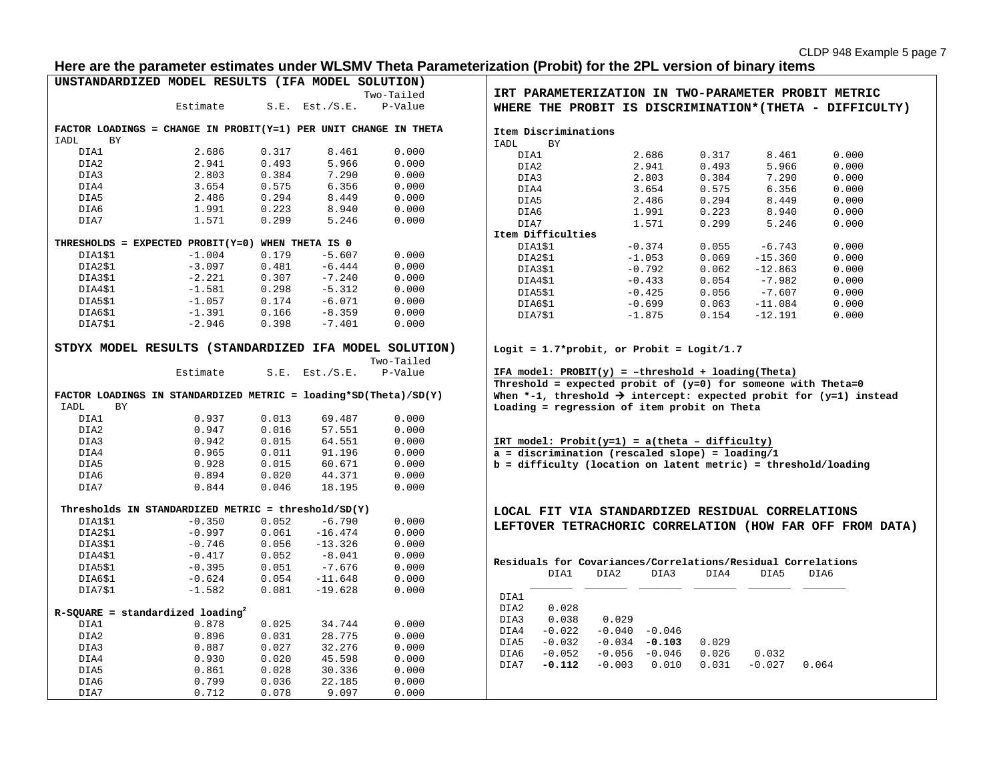## **Here are the parameter estimates under WLSMV Theta Parameterization (Probit) for the 2PL version of binary items**

| UNSTANDARDIZED MODEL RESULTS (IFA MODEL SOLUTION)                                                                                                                                                                         |                                                     |       |                     |            |             |                   |                                                                                                                                                   |                |       |           |       |  |
|---------------------------------------------------------------------------------------------------------------------------------------------------------------------------------------------------------------------------|-----------------------------------------------------|-------|---------------------|------------|-------------|-------------------|---------------------------------------------------------------------------------------------------------------------------------------------------|----------------|-------|-----------|-------|--|
|                                                                                                                                                                                                                           |                                                     |       |                     | Two-Tailed |             |                   | IRT PARAMETERIZATION IN TWO-PARAMETER PROBIT METRIC                                                                                               |                |       |           |       |  |
|                                                                                                                                                                                                                           | Estimate                                            |       | $S.E.$ Est./ $S.E.$ | P-Value    |             |                   | WHERE THE PROBIT IS DISCRIMINATION* (THETA - DIFFICULTY)                                                                                          |                |       |           |       |  |
| FACTOR LOADINGS = CHANGE IN PROBIT(Y=1) PER UNIT CHANGE IN THETA<br>Item Discriminations                                                                                                                                  |                                                     |       |                     |            |             |                   |                                                                                                                                                   |                |       |           |       |  |
| IADL<br>BY                                                                                                                                                                                                                |                                                     |       |                     |            | <b>IADL</b> | <b>BY</b>         |                                                                                                                                                   |                |       |           |       |  |
| DIA1                                                                                                                                                                                                                      | 2.686                                               | 0.317 | 8.461               | 0.000      |             | DIA1              | 2.686                                                                                                                                             |                | 0.317 | 8.461     | 0.000 |  |
| DIA2                                                                                                                                                                                                                      | 2.941                                               | 0.493 | 5.966               | 0.000      |             | DIA2              | 2.941                                                                                                                                             |                | 0.493 | 5.966     | 0.000 |  |
| DIA3                                                                                                                                                                                                                      | 2.803                                               | 0.384 | 7.290               | 0.000      |             | DIA3              | 2.803                                                                                                                                             |                | 0.384 | 7.290     | 0.000 |  |
| DIA4                                                                                                                                                                                                                      | 3.654                                               | 0.575 | 6.356               | 0.000      |             | DIA4              | 3.654                                                                                                                                             |                | 0.575 | 6.356     | 0.000 |  |
| DIA5                                                                                                                                                                                                                      | 2.486                                               | 0.294 | 8.449               | 0.000      |             | DIA5              | 2.486                                                                                                                                             |                | 0.294 | 8.449     | 0.000 |  |
| DIA6                                                                                                                                                                                                                      | 1.991                                               | 0.223 | 8.940               | 0.000      |             | DIA6              | 1.991                                                                                                                                             |                | 0.223 | 8.940     | 0.000 |  |
| DIA7                                                                                                                                                                                                                      | 1.571                                               | 0.299 | 5.246               | 0.000      |             | DIA7              | 1.571                                                                                                                                             |                | 0.299 | 5.246     | 0.000 |  |
|                                                                                                                                                                                                                           |                                                     |       |                     |            |             | Item Difficulties |                                                                                                                                                   |                |       |           |       |  |
| THRESHOLDS = EXPECTED PROBIT(Y=0) WHEN THETA IS 0                                                                                                                                                                         |                                                     |       |                     |            |             | DIA1\$1           | $-0.374$                                                                                                                                          |                | 0.055 | $-6.743$  | 0.000 |  |
| DIA1\$1                                                                                                                                                                                                                   | $-1.004$                                            | 0.179 | $-5.607$            | 0.000      |             | DIA2\$1           | $-1.053$                                                                                                                                          |                | 0.069 | $-15.360$ | 0.000 |  |
| DIA2\$1                                                                                                                                                                                                                   | $-3.097$                                            | 0.481 | $-6.444$            | 0.000      |             | DIA3\$1           | $-0.792$                                                                                                                                          |                | 0.062 | $-12.863$ | 0.000 |  |
| DIA3\$1                                                                                                                                                                                                                   | $-2.221$                                            | 0.307 | $-7.240$            | 0.000      |             | DIA4\$1           | $-0.433$                                                                                                                                          |                | 0.054 | $-7.982$  | 0.000 |  |
| DIA4\$1                                                                                                                                                                                                                   | $-1.581$                                            | 0.298 | $-5.312$            | 0.000      |             | DIA5\$1           | $-0.425$                                                                                                                                          |                | 0.056 | $-7.607$  | 0.000 |  |
| DIA5\$1                                                                                                                                                                                                                   | $-1.057$                                            | 0.174 | $-6.071$            | 0.000      |             | DIA6\$1           | $-0.699$                                                                                                                                          |                | 0.063 | $-11.084$ | 0.000 |  |
| DIA6\$1                                                                                                                                                                                                                   | $-1.391$                                            | 0.166 | $-8.359$            | 0.000      |             | DIA7\$1           | $-1.875$                                                                                                                                          |                | 0.154 | $-12.191$ | 0.000 |  |
| DIA7\$1                                                                                                                                                                                                                   | $-2.946$                                            | 0.398 | $-7.401$            | 0.000      |             |                   |                                                                                                                                                   |                |       |           |       |  |
| STDYX MODEL RESULTS (STANDARDIZED IFA MODEL SOLUTION)<br>Logit = $1.7$ *probit, or Probit = Logit/1.7<br>Two-Tailed<br>Estimate<br>$S.E.$ Est./ $S.E.$<br>P-Value<br>IFA model: $PROBIT(y) = -threshold + loading(Theta)$ |                                                     |       |                     |            |             |                   |                                                                                                                                                   |                |       |           |       |  |
| FACTOR LOADINGS IN STANDARDIZED METRIC = $loading*SD(Theta)/SD(Y)$                                                                                                                                                        |                                                     |       |                     |            |             |                   | Threshold = expected probit of $(y=0)$ for someone with Theta=0<br>When *-1, threshold $\rightarrow$ intercept: expected probit for (y=1) instead |                |       |           |       |  |
| IADL<br>BY                                                                                                                                                                                                                |                                                     |       |                     |            |             |                   | Loading = regression of item probit on Theta                                                                                                      |                |       |           |       |  |
| DIA1                                                                                                                                                                                                                      | 0.937                                               | 0.013 | 69.487              | 0.000      |             |                   |                                                                                                                                                   |                |       |           |       |  |
| DIA2                                                                                                                                                                                                                      | 0.947                                               | 0.016 | 57.551              | 0.000      |             |                   |                                                                                                                                                   |                |       |           |       |  |
| DIA3                                                                                                                                                                                                                      | 0.942                                               | 0.015 | 64.551              | 0.000      |             |                   |                                                                                                                                                   |                |       |           |       |  |
| DIA4                                                                                                                                                                                                                      | 0.965                                               | 0.011 | 91.196              | 0.000      |             |                   | IRT model: $Probability=1$ ) = a(theta - difficulty)<br>$\alpha$ = discrimination (rescaled slope) = loading/1                                    |                |       |           |       |  |
|                                                                                                                                                                                                                           |                                                     |       | 60.671              | 0.000      |             |                   | $b = difficulty$ (location on latent metric) = threshold/loading                                                                                  |                |       |           |       |  |
| DIA5                                                                                                                                                                                                                      | 0.928                                               | 0.015 |                     |            |             |                   |                                                                                                                                                   |                |       |           |       |  |
| DIA6                                                                                                                                                                                                                      | 0.894                                               | 0.020 | 44.371              | 0.000      |             |                   |                                                                                                                                                   |                |       |           |       |  |
| DIA7                                                                                                                                                                                                                      | 0.844                                               | 0.046 | 18.195              | 0.000      |             |                   |                                                                                                                                                   |                |       |           |       |  |
|                                                                                                                                                                                                                           | Thresholds IN STANDARDIZED METRIC = threshold/SD(Y) |       |                     |            |             |                   | LOCAL FIT VIA STANDARDIZED RESIDUAL CORRELATIONS                                                                                                  |                |       |           |       |  |
| DIA1\$1                                                                                                                                                                                                                   | $-0.350$                                            | 0.052 | $-6.790$            | 0.000      |             |                   | LEFTOVER TETRACHORIC CORRELATION (HOW FAR OFF FROM DATA)                                                                                          |                |       |           |       |  |
| DIA2\$1                                                                                                                                                                                                                   | $-0.997$                                            | 0.061 | $-16.474$           | 0.000      |             |                   |                                                                                                                                                   |                |       |           |       |  |
| DIA3\$1                                                                                                                                                                                                                   | $-0.746$                                            | 0.056 | $-13.326$           | 0.000      |             |                   |                                                                                                                                                   |                |       |           |       |  |
| DIA4\$1                                                                                                                                                                                                                   | $-0.417$                                            | 0.052 | $-8.041$            | 0.000      |             |                   |                                                                                                                                                   |                |       |           |       |  |
| DIA5\$1                                                                                                                                                                                                                   | $-0.395$                                            | 0.051 | $-7.676$            | 0.000      |             |                   | Residuals for Covariances/Correlations/Residual Correlations                                                                                      |                |       |           |       |  |
| DIA6\$1                                                                                                                                                                                                                   | $-0.624$                                            | 0.054 | $-11.648$           | 0.000      |             | DIA1              | DIA2                                                                                                                                              | DIA3           | DIA4  | DIA5      | DIA6  |  |
| DIA7\$1                                                                                                                                                                                                                   | $-1.582$                                            | 0.081 | $-19.628$           | 0.000      |             |                   |                                                                                                                                                   |                |       |           |       |  |
|                                                                                                                                                                                                                           |                                                     |       |                     |            | DIA1        |                   |                                                                                                                                                   |                |       |           |       |  |
| $R-SQUARE = standardized loading2$                                                                                                                                                                                        |                                                     |       |                     |            | DIA2        | 0.028             |                                                                                                                                                   |                |       |           |       |  |
| DIA1                                                                                                                                                                                                                      | 0.878                                               | 0.025 | 34.744              | 0.000      | DIA3        | 0.038             | 0.029                                                                                                                                             |                |       |           |       |  |
| DIA2                                                                                                                                                                                                                      | 0.896                                               | 0.031 | 28.775              | 0.000      | DIA4        | $-0.022$          | $-0.040 - 0.046$                                                                                                                                  |                |       |           |       |  |
| DIA3                                                                                                                                                                                                                      | 0.887                                               | 0.027 | 32.276              | 0.000      | DIA5        | $-0.032$          | $-0.034 - 0.103$                                                                                                                                  | 0.029          |       |           |       |  |
| DIA4                                                                                                                                                                                                                      | 0.930                                               | 0.020 | 45.598              | 0.000      | DIA6        | $-0.052$          | $-0.056 - 0.046$                                                                                                                                  | 0.026          |       | 0.032     |       |  |
| DIA5                                                                                                                                                                                                                      | 0.861                                               | 0.028 |                     |            | DIA7        | $-0.112$          | $-0.003$                                                                                                                                          | 0.031<br>0.010 |       | $-0.027$  | 0.064 |  |
|                                                                                                                                                                                                                           |                                                     |       | 30.336              | 0.000      |             |                   |                                                                                                                                                   |                |       |           |       |  |
| DIA6                                                                                                                                                                                                                      | 0.799                                               | 0.036 | 22.185              | 0.000      |             |                   |                                                                                                                                                   |                |       |           |       |  |
| DIA7                                                                                                                                                                                                                      | 0.712                                               | 0.078 | 9.097               | 0.000      |             |                   |                                                                                                                                                   |                |       |           |       |  |